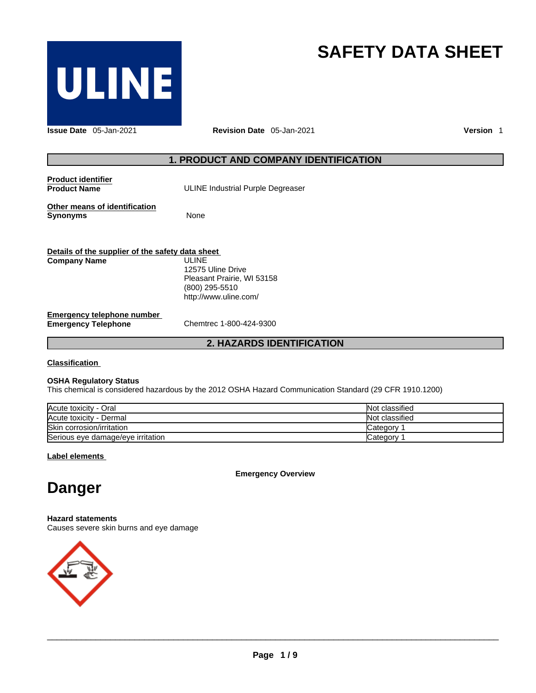

# **SAFETY DATA SHEET 1. PRODUCT AND COMPANY IDENTIFICATION<br>
ULINE Industrial Purple Degreaser**<br>
PULINE Industrial Purple Degreaser

**Issue Date** 05-Jan-2021 **Revision Date** 05-Jan-2021 **Version** 1

**Product identifier Product Name** 

ULINE Industrial Purple Degreaser

**Other means of identification Synonyms** None

**Details of the supplier of the safety data sheet Emergency telephone number**<br> **Emergency Telephone**<br>
Chemtrec 1-800-424-9300 **Emergency Telephone 2. HAZARDS IDENTIFICATION**<br> **2. HAZARDS IDENTIFICATION**<br> **2. HAZARDS IDENTIFICATION Company Name** ULINE 12575 Uline Drive Pleasant Prairie, WI 53158 (CONSTRUCTIVE DETAILS)<br>
ULINE Industrial Purple Degreaser<br>
None<br>
Sata sheet<br>
ULINE<br>
12575 Uline Drive<br>
Pleasant Prairie, WI 53158<br>
(800) 295-5510<br>
http://www.uline.com/ http://www.uline.com/

**Classification** 

### **OSHA Regulatory Status**

This chemical is considered hazardous by the 2012 OSHA Hazard Communication Standard (29 CFR 1910.1200)

| Acute toxicity - Oral             | Not classified |
|-----------------------------------|----------------|
| Acute toxicity - Dermal           | Not classified |
| Skin corrosion/irritation         | Category       |
| Serious eye damage/eye irritation | ′ ategoryټ     |

**Label elements** 

**Emergency Overview** 

# **Danger**

**Hazard statements** Causes severe skin burns and eye damage



 $\_$  ,  $\_$  ,  $\_$  ,  $\_$  ,  $\_$  ,  $\_$  ,  $\_$  ,  $\_$  ,  $\_$  ,  $\_$  ,  $\_$  ,  $\_$  ,  $\_$  ,  $\_$  ,  $\_$  ,  $\_$  ,  $\_$  ,  $\_$  ,  $\_$  ,  $\_$  ,  $\_$  ,  $\_$  ,  $\_$  ,  $\_$  ,  $\_$  ,  $\_$  ,  $\_$  ,  $\_$  ,  $\_$  ,  $\_$  ,  $\_$  ,  $\_$  ,  $\_$  ,  $\_$  ,  $\_$  ,  $\_$  ,  $\_$  ,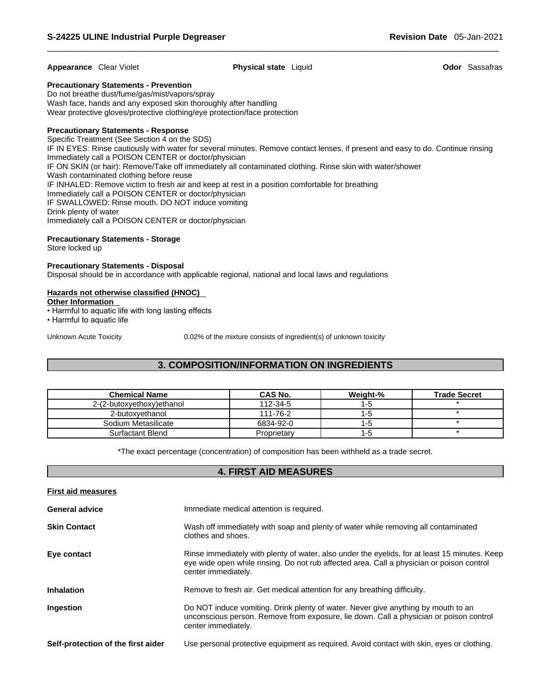### **Appearance** Clear Violet **Physical state** Liquid **Odor** Sassafras

### **Precautionary Statements - Prevention**

Do not breathe dust/fume/gas/mist/vapors/spray Wash face, hands and any exposed skin thoroughly after handling Wear protective gloves/protective clothing/eye protection/face protection

### **Precautionary Statements - Response**

Specific Treatment (See Section 4 on the SDS) IF IN EYES: Rinse cautiously with water for several minutes. Remove contact lenses, if present and easy to do. Continue rinsing Immediately call a POISON CENTER or doctor/physician IF ON SKIN (or hair): Remove/Take off immediately all contaminated clothing. Rinse skin with water/shower Wash contaminated clothing before reuse IF INHALED: Remove victim to fresh air and keep at rest in a position comfortable for breathing Immediately call a POISON CENTER or doctor/physician IF SWALLOWED: Rinse mouth. DO NOT induce vomiting Drink plenty of water Immediately call a POISON CENTER or doctor/physician

### **Precautionary Statements - Storage**

Store locked up

### **Precautionary Statements - Disposal**

Disposal should be in accordance with applicable regional, national and local laws and regulations

### **Hazards not otherwise classified (HNOC)**

### **Other Information**

• Harmful to aquatic life with long lasting effects

• Harmful to aquatic life

Unknown Acute Toxicity 0.02% of the mixture consists of ingredient(s) of unknown toxicity

# **3. COMPOSITION/INFORMATION ON INGREDIENTS**

| <b>Chemical Name</b>      | <b>CAS No.</b> | Weight-% | <b>Trade Secret</b> |
|---------------------------|----------------|----------|---------------------|
| 2-(2-butoxyethoxy)ethanol | 112-34-5       | ı-a      |                     |
| 2-butoxvethanol           | 111-76-2       | -5       |                     |
| Sodium Metasilicate       | 6834-92-0      | -5       |                     |
| Surfactant Blend          | Proprietary    | I - O    |                     |

\*The exact percentage (concentration) of composition has been withheld as a trade secret.

### **4. FIRST AID MEASURES**

| <b>First aid measures</b>          |                                                                                                                                                                                                                   |
|------------------------------------|-------------------------------------------------------------------------------------------------------------------------------------------------------------------------------------------------------------------|
| <b>General advice</b>              | Immediate medical attention is required.                                                                                                                                                                          |
| <b>Skin Contact</b>                | Wash off immediately with soap and plenty of water while removing all contaminated<br>clothes and shoes.                                                                                                          |
| Eye contact                        | Rinse immediately with plenty of water, also under the eyelids, for at least 15 minutes. Keep<br>eye wide open while rinsing. Do not rub affected area. Call a physician or poison control<br>center immediately. |
| <b>Inhalation</b>                  | Remove to fresh air. Get medical attention for any breathing difficulty.                                                                                                                                          |
| Ingestion                          | Do NOT induce vomiting. Drink plenty of water. Never give anything by mouth to an<br>unconscious person. Remove from exposure, lie down. Call a physician or poison control<br>center immediately.                |
| Self-protection of the first aider | Use personal protective equipment as required. Avoid contact with skin, eyes or clothing.                                                                                                                         |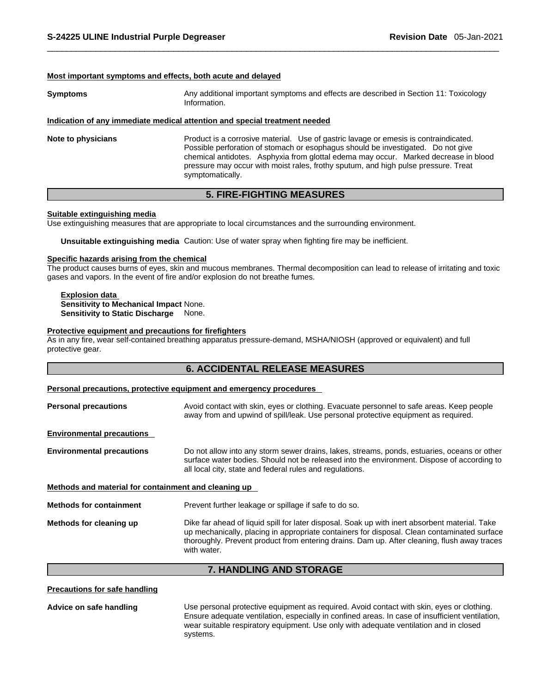### **Most important symptoms and effects, both acute and delayed**

**Symptoms** Any additional important symptoms and effects are described in Section 11: Toxicology Information.

### **Indication of any immediate medical attention and special treatment needed**

**Note to physicians** Product is a corrosive material. Use of gastric lavage or emesis is contraindicated. Possible perforation of stomach or esophagus should be investigated. Do not give chemical antidotes. Asphyxia from glottal edema may occur. Marked decrease in blood pressure may occur with moist rales, frothy sputum, and high pulse pressure. Treat symptomatically.

### **5. FIRE-FIGHTING MEASURES**

### **Suitable extinguishing media**

Use extinguishing measures that are appropriate to local circumstances and the surrounding environment.

**Unsuitable extinguishing media** Caution: Use of water spray when fighting fire may be inefficient.

### **Specific hazards arising from the chemical**

The product causes burns of eyes, skin and mucous membranes. Thermal decomposition can lead to release of irritating and toxic gases and vapors. In the event of fire and/or explosion do not breathe fumes.

**Explosion data Sensitivity to Mechanical Impact** None. **Sensitivity to Static Discharge** None.

### **Protective equipment and precautions for firefighters**

As in any fire, wear self-contained breathing apparatus pressure-demand, MSHA/NIOSH (approved or equivalent) and full protective gear.

### **6. ACCIDENTAL RELEASE MEASURES**

### **Personal precautions, protective equipment and emergency procedures**

| <b>Personal precautions</b>                          | Avoid contact with skin, eyes or clothing. Evacuate personnel to safe areas. Keep people<br>away from and upwind of spill/leak. Use personal protective equipment as required.                                                                                                                              |
|------------------------------------------------------|-------------------------------------------------------------------------------------------------------------------------------------------------------------------------------------------------------------------------------------------------------------------------------------------------------------|
| <b>Environmental precautions</b>                     |                                                                                                                                                                                                                                                                                                             |
| <b>Environmental precautions</b>                     | Do not allow into any storm sewer drains, lakes, streams, ponds, estuaries, oceans or other<br>surface water bodies. Should not be released into the environment. Dispose of according to<br>all local city, state and federal rules and regulations.                                                       |
| Methods and material for containment and cleaning up |                                                                                                                                                                                                                                                                                                             |
| <b>Methods for containment</b>                       | Prevent further leakage or spillage if safe to do so.                                                                                                                                                                                                                                                       |
| Methods for cleaning up                              | Dike far ahead of liquid spill for later disposal. Soak up with inert absorbent material. Take<br>up mechanically, placing in appropriate containers for disposal. Clean contaminated surface<br>thoroughly. Prevent product from entering drains. Dam up. After cleaning, flush away traces<br>with water. |

### **7. HANDLING AND STORAGE**

**Precautions for safe handling**

**Advice on safe handling** Use personal protective equipment as required.Avoid contact with skin, eyes or clothing. Ensure adequate ventilation, especially in confined areas. In case of insufficient ventilation, wear suitable respiratory equipment. Use only with adequate ventilation and in closed systems.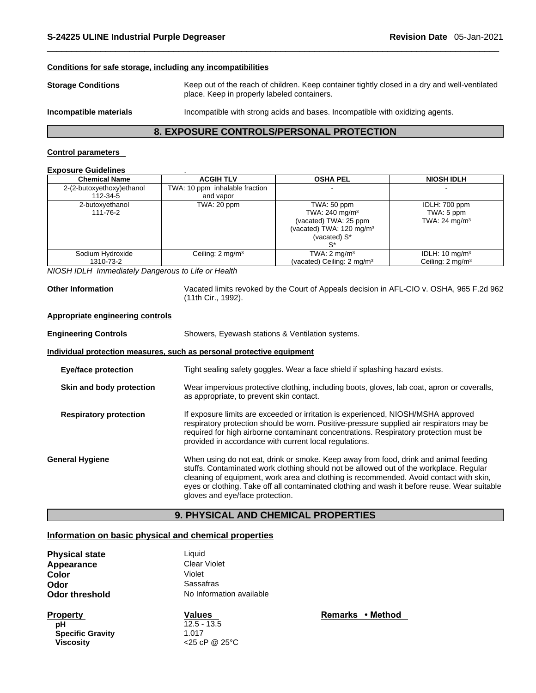### **Conditions for safe storage, including any incompatibilities**

**Storage Conditions** Keep out of the reach of children. Keep container tightly closed in a dry and well-ventilated place. Keep in properly labeled containers.

**Incompatible materials** Incompatible with strong acids and bases. Incompatible with oxidizing agents.

### **8. EXPOSURE CONTROLS/PERSONAL PROTECTION**

### **Control parameters**

### **Exposure Guidelines** .

| <b>Chemical Name</b>          | <b>ACGIH TLV</b>               | <b>OSHA PEL</b>                                                                                                            | <b>NIOSH IDLH</b>                                        |
|-------------------------------|--------------------------------|----------------------------------------------------------------------------------------------------------------------------|----------------------------------------------------------|
| 2-(2-butoxyethoxy)ethanol     | TWA: 10 ppm inhalable fraction |                                                                                                                            |                                                          |
| 112-34-5                      | and vapor                      |                                                                                                                            |                                                          |
| 2-butoxyethanol<br>111-76-2   | TWA: 20 ppm                    | TWA: 50 ppm<br>TWA: 240 mg/m <sup>3</sup><br>(vacated) TWA: 25 ppm<br>(vacated) TWA: 120 mg/m <sup>3</sup><br>(vacated) S* | IDLH: 700 ppm<br>TWA: 5 ppm<br>TWA: $24 \text{ mg/m}^3$  |
| Sodium Hydroxide<br>1310-73-2 | Ceiling: $2 \text{ mg/m}^3$    | TWA: $2 \text{ mg/m}^3$<br>(vacated) Ceiling: 2 mg/m <sup>3</sup>                                                          | IDLH: $10 \text{ mg/m}^3$<br>Ceiling: $2 \text{ mg/m}^3$ |

*NIOSH IDLH Immediately Dangerous to Life or Health* 

**Other Information** Vacated limits revoked by the Court of Appeals decision in AFL-CIO v.OSHA, 965 F.2d 962 (11th Cir., 1992).

### **Appropriate engineering controls**

| <b>Engineering Controls</b>   | Showers, Eyewash stations & Ventilation systems.                                                                                                                                                                                                                                                                                                                                                            |  |  |  |
|-------------------------------|-------------------------------------------------------------------------------------------------------------------------------------------------------------------------------------------------------------------------------------------------------------------------------------------------------------------------------------------------------------------------------------------------------------|--|--|--|
|                               | Individual protection measures, such as personal protective equipment                                                                                                                                                                                                                                                                                                                                       |  |  |  |
| <b>Eye/face protection</b>    | Tight sealing safety goggles. Wear a face shield if splashing hazard exists.                                                                                                                                                                                                                                                                                                                                |  |  |  |
| Skin and body protection      | Wear impervious protective clothing, including boots, gloves, lab coat, apron or coveralls,<br>as appropriate, to prevent skin contact.                                                                                                                                                                                                                                                                     |  |  |  |
| <b>Respiratory protection</b> | If exposure limits are exceeded or irritation is experienced, NIOSH/MSHA approved<br>respiratory protection should be worn. Positive-pressure supplied air respirators may be<br>required for high airborne contaminant concentrations. Respiratory protection must be<br>provided in accordance with current local regulations.                                                                            |  |  |  |
| <b>General Hygiene</b>        | When using do not eat, drink or smoke. Keep away from food, drink and animal feeding<br>stuffs. Contaminated work clothing should not be allowed out of the workplace. Regular<br>cleaning of equipment, work area and clothing is recommended. Avoid contact with skin,<br>eyes or clothing. Take off all contaminated clothing and wash it before reuse. Wear suitable<br>gloves and eye/face protection. |  |  |  |

# **9. PHYSICAL AND CHEMICAL PROPERTIES**

### **Information on basic physical and chemical properties**

| <b>Physical state</b> | Liquid                   |
|-----------------------|--------------------------|
| Appearance            | <b>Clear Violet</b>      |
| Color                 | Violet                   |
| Odor                  | Sassafras                |
| Odor threshold        | No Information available |
|                       |                          |

**pH**  $12.5 - 13.5$ **Specific Gravity** 1.017 **Viscosity** <25 cP @ 25°C

**Property CONSERVITY CONSERVANCES Property Remarks • Method**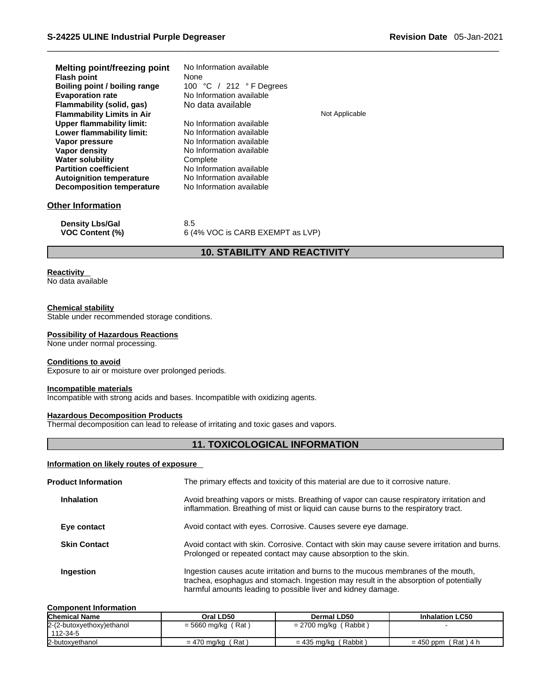| Melting point/freezing point<br><b>Flash point</b><br>Boiling point / boiling range<br><b>Evaporation rate</b><br>Flammability (solid, gas)<br><b>Flammability Limits in Air</b><br>Upper flammability limit:<br>Lower flammability limit:<br>Vapor pressure<br>Vapor density<br><b>Water solubility</b><br><b>Partition coefficient</b> | No Information available<br>None<br>100 °C / 212 °F Degrees<br>No Information available<br>No data available<br>No Information available<br>No Information available<br>No Information available<br>No Information available<br>Complete<br>No Information available<br>No Information available | Not Applicable |
|------------------------------------------------------------------------------------------------------------------------------------------------------------------------------------------------------------------------------------------------------------------------------------------------------------------------------------------|--------------------------------------------------------------------------------------------------------------------------------------------------------------------------------------------------------------------------------------------------------------------------------------------------|----------------|
| <b>Autoignition temperature</b><br><b>Decomposition temperature</b>                                                                                                                                                                                                                                                                      | No Information available                                                                                                                                                                                                                                                                         |                |
| Other Information                                                                                                                                                                                                                                                                                                                        |                                                                                                                                                                                                                                                                                                  |                |
| <b>Density Lbs/Gal</b><br><b>VOC Content (%)</b>                                                                                                                                                                                                                                                                                         | 8.5<br>6 (4% VOC is CARB EXEMPT as LVP)                                                                                                                                                                                                                                                          |                |

# **10. STABILITY AND REACTIVITY**

### **Reactivity**

No data available

### **Chemical stability**

Stable under recommended storage conditions.

### **Possibility of Hazardous Reactions**

None under normal processing.

### **Conditions to avoid**

Exposure to air or moisture over prolonged periods.

### **Incompatible materials**

Incompatible with strong acids and bases. Incompatible with oxidizing agents.

### **Hazardous Decomposition Products**

Thermal decomposition can lead to release of irritating and toxic gases and vapors.

## **11. TOXICOLOGICAL INFORMATION**

### **Information on likely routes of exposure**

| <b>Product Information</b> | The primary effects and toxicity of this material are due to it corrosive nature.                                                                                                                                                          |
|----------------------------|--------------------------------------------------------------------------------------------------------------------------------------------------------------------------------------------------------------------------------------------|
| <b>Inhalation</b>          | Avoid breathing vapors or mists. Breathing of vapor can cause respiratory irritation and<br>inflammation. Breathing of mist or liquid can cause burns to the respiratory tract.                                                            |
| Eye contact                | Avoid contact with eyes. Corrosive. Causes severe eye damage.                                                                                                                                                                              |
| <b>Skin Contact</b>        | Avoid contact with skin. Corrosive. Contact with skin may cause severe irritation and burns.<br>Prolonged or repeated contact may cause absorption to the skin.                                                                            |
| Ingestion                  | Ingestion causes acute irritation and burns to the mucous membranes of the mouth,<br>trachea, esophagus and stomach. Ingestion may result in the absorption of potentially<br>harmful amounts leading to possible liver and kidney damage. |

### **Component Information**

| <b>Chemical Name</b>       | Oral LD50               | Dermal LD50             | <b>Inhalation LC50</b> |
|----------------------------|-------------------------|-------------------------|------------------------|
| 2-(2-butoxyethoxy) ethanol | $= 5660$ mg/kg (Rat)    | $= 2700$ mg/kg (Rabbit) |                        |
| 112-34-5                   |                         |                         |                        |
| 2-butoxyethanol            | ˈRat \<br>= 470 mg/kg ( | $= 435$ mg/kg (Rabbit)  | $= 450$ ppm (Rat) 4 h  |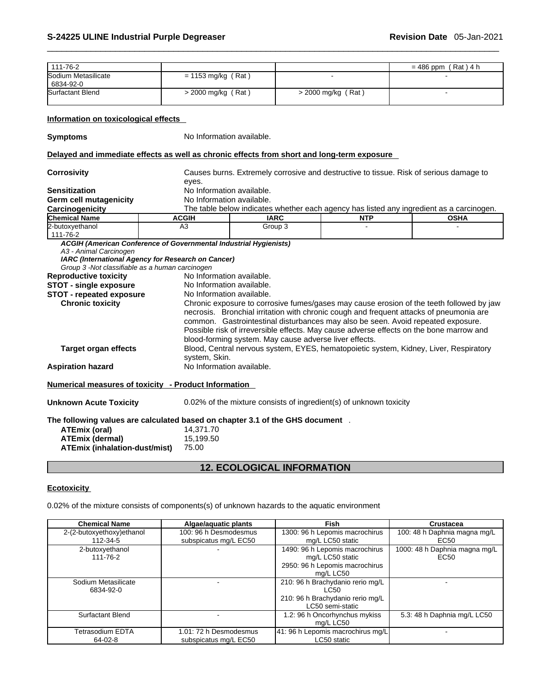| 111-76-2<br>$= 486$ ppm (Rat) 4 h<br>Sodium Metasilicate<br>$= 1153$ mg/kg (Rat)<br>6834-92-0<br>Surfactant Blend<br>$>$ 2000 mg/kg (Rat)<br>$>$ 2000 mg/kg (Rat)<br>Information on toxicological effects<br>No Information available.<br>Delayed and immediate effects as well as chronic effects from short and long-term exposure<br>Causes burns. Extremely corrosive and destructive to tissue. Risk of serious damage to<br><b>Corrosivity</b><br>eyes.<br>No Information available.<br><b>Sensitization</b><br><b>Germ cell mutagenicity</b><br>No Information available.<br>The table below indicates whether each agency has listed any ingredient as a carcinogen.<br>Carcinogenicity<br><b>Chemical Name</b><br><b>NTP</b><br><b>OSHA</b><br><b>ACGIH</b><br><b>IARC</b><br>A <sub>3</sub><br>Group 3<br>111-76-2<br>ACGIH (American Conference of Governmental Industrial Hygienists)<br>A3 - Animal Carcinogen<br>IARC (International Agency for Research on Cancer)<br>Group 3 -Not classifiable as a human carcinogen<br><b>Reproductive toxicity</b><br>No Information available.<br><b>STOT - single exposure</b><br>No Information available.<br><b>STOT - repeated exposure</b><br>No Information available.<br><b>Chronic toxicity</b><br>Chronic exposure to corrosive fumes/gases may cause erosion of the teeth followed by jaw<br>necrosis. Bronchial irritation with chronic cough and frequent attacks of pneumonia are<br>common. Gastrointestinal disturbances may also be seen. Avoid repeated exposure.<br>Possible risk of irreversible effects. May cause adverse effects on the bone marrow and<br>blood-forming system. May cause adverse liver effects.<br>Blood, Central nervous system, EYES, hematopoietic system, Kidney, Liver, Respiratory<br><b>Target organ effects</b><br>system, Skin.<br>No Information available.<br><b>Aspiration hazard</b><br>Numerical measures of toxicity - Product Information<br><b>Unknown Acute Toxicity</b><br>0.02% of the mixture consists of ingredient(s) of unknown toxicity<br>The following values are calculated based on chapter 3.1 of the GHS document .<br><b>ATEmix (oral)</b><br>14,371.70<br>15,199.50<br><b>ATEmix (dermal)</b><br><b>ATEmix (inhalation-dust/mist)</b><br>75.00 |                 |  |  |
|----------------------------------------------------------------------------------------------------------------------------------------------------------------------------------------------------------------------------------------------------------------------------------------------------------------------------------------------------------------------------------------------------------------------------------------------------------------------------------------------------------------------------------------------------------------------------------------------------------------------------------------------------------------------------------------------------------------------------------------------------------------------------------------------------------------------------------------------------------------------------------------------------------------------------------------------------------------------------------------------------------------------------------------------------------------------------------------------------------------------------------------------------------------------------------------------------------------------------------------------------------------------------------------------------------------------------------------------------------------------------------------------------------------------------------------------------------------------------------------------------------------------------------------------------------------------------------------------------------------------------------------------------------------------------------------------------------------------------------------------------------------------------------------------------------------------------------------------------------------------------------------------------------------------------------------------------------------------------------------------------------------------------------------------------------------------------------------------------------------------------------------------------------------------------------------------------------------------------------------------------------------------------|-----------------|--|--|
|                                                                                                                                                                                                                                                                                                                                                                                                                                                                                                                                                                                                                                                                                                                                                                                                                                                                                                                                                                                                                                                                                                                                                                                                                                                                                                                                                                                                                                                                                                                                                                                                                                                                                                                                                                                                                                                                                                                                                                                                                                                                                                                                                                                                                                                                            |                 |  |  |
|                                                                                                                                                                                                                                                                                                                                                                                                                                                                                                                                                                                                                                                                                                                                                                                                                                                                                                                                                                                                                                                                                                                                                                                                                                                                                                                                                                                                                                                                                                                                                                                                                                                                                                                                                                                                                                                                                                                                                                                                                                                                                                                                                                                                                                                                            |                 |  |  |
|                                                                                                                                                                                                                                                                                                                                                                                                                                                                                                                                                                                                                                                                                                                                                                                                                                                                                                                                                                                                                                                                                                                                                                                                                                                                                                                                                                                                                                                                                                                                                                                                                                                                                                                                                                                                                                                                                                                                                                                                                                                                                                                                                                                                                                                                            |                 |  |  |
|                                                                                                                                                                                                                                                                                                                                                                                                                                                                                                                                                                                                                                                                                                                                                                                                                                                                                                                                                                                                                                                                                                                                                                                                                                                                                                                                                                                                                                                                                                                                                                                                                                                                                                                                                                                                                                                                                                                                                                                                                                                                                                                                                                                                                                                                            |                 |  |  |
|                                                                                                                                                                                                                                                                                                                                                                                                                                                                                                                                                                                                                                                                                                                                                                                                                                                                                                                                                                                                                                                                                                                                                                                                                                                                                                                                                                                                                                                                                                                                                                                                                                                                                                                                                                                                                                                                                                                                                                                                                                                                                                                                                                                                                                                                            | <b>Symptoms</b> |  |  |
|                                                                                                                                                                                                                                                                                                                                                                                                                                                                                                                                                                                                                                                                                                                                                                                                                                                                                                                                                                                                                                                                                                                                                                                                                                                                                                                                                                                                                                                                                                                                                                                                                                                                                                                                                                                                                                                                                                                                                                                                                                                                                                                                                                                                                                                                            |                 |  |  |
|                                                                                                                                                                                                                                                                                                                                                                                                                                                                                                                                                                                                                                                                                                                                                                                                                                                                                                                                                                                                                                                                                                                                                                                                                                                                                                                                                                                                                                                                                                                                                                                                                                                                                                                                                                                                                                                                                                                                                                                                                                                                                                                                                                                                                                                                            |                 |  |  |
|                                                                                                                                                                                                                                                                                                                                                                                                                                                                                                                                                                                                                                                                                                                                                                                                                                                                                                                                                                                                                                                                                                                                                                                                                                                                                                                                                                                                                                                                                                                                                                                                                                                                                                                                                                                                                                                                                                                                                                                                                                                                                                                                                                                                                                                                            |                 |  |  |
|                                                                                                                                                                                                                                                                                                                                                                                                                                                                                                                                                                                                                                                                                                                                                                                                                                                                                                                                                                                                                                                                                                                                                                                                                                                                                                                                                                                                                                                                                                                                                                                                                                                                                                                                                                                                                                                                                                                                                                                                                                                                                                                                                                                                                                                                            |                 |  |  |
|                                                                                                                                                                                                                                                                                                                                                                                                                                                                                                                                                                                                                                                                                                                                                                                                                                                                                                                                                                                                                                                                                                                                                                                                                                                                                                                                                                                                                                                                                                                                                                                                                                                                                                                                                                                                                                                                                                                                                                                                                                                                                                                                                                                                                                                                            |                 |  |  |
|                                                                                                                                                                                                                                                                                                                                                                                                                                                                                                                                                                                                                                                                                                                                                                                                                                                                                                                                                                                                                                                                                                                                                                                                                                                                                                                                                                                                                                                                                                                                                                                                                                                                                                                                                                                                                                                                                                                                                                                                                                                                                                                                                                                                                                                                            |                 |  |  |
|                                                                                                                                                                                                                                                                                                                                                                                                                                                                                                                                                                                                                                                                                                                                                                                                                                                                                                                                                                                                                                                                                                                                                                                                                                                                                                                                                                                                                                                                                                                                                                                                                                                                                                                                                                                                                                                                                                                                                                                                                                                                                                                                                                                                                                                                            | 2-butoxyethanol |  |  |
|                                                                                                                                                                                                                                                                                                                                                                                                                                                                                                                                                                                                                                                                                                                                                                                                                                                                                                                                                                                                                                                                                                                                                                                                                                                                                                                                                                                                                                                                                                                                                                                                                                                                                                                                                                                                                                                                                                                                                                                                                                                                                                                                                                                                                                                                            |                 |  |  |
|                                                                                                                                                                                                                                                                                                                                                                                                                                                                                                                                                                                                                                                                                                                                                                                                                                                                                                                                                                                                                                                                                                                                                                                                                                                                                                                                                                                                                                                                                                                                                                                                                                                                                                                                                                                                                                                                                                                                                                                                                                                                                                                                                                                                                                                                            |                 |  |  |
|                                                                                                                                                                                                                                                                                                                                                                                                                                                                                                                                                                                                                                                                                                                                                                                                                                                                                                                                                                                                                                                                                                                                                                                                                                                                                                                                                                                                                                                                                                                                                                                                                                                                                                                                                                                                                                                                                                                                                                                                                                                                                                                                                                                                                                                                            |                 |  |  |
|                                                                                                                                                                                                                                                                                                                                                                                                                                                                                                                                                                                                                                                                                                                                                                                                                                                                                                                                                                                                                                                                                                                                                                                                                                                                                                                                                                                                                                                                                                                                                                                                                                                                                                                                                                                                                                                                                                                                                                                                                                                                                                                                                                                                                                                                            |                 |  |  |

# **12. ECOLOGICAL INFORMATION**

### **Ecotoxicity**

0.02% of the mixture consists of components(s) of unknown hazards to the aquatic environment

| <b>Chemical Name</b>      | Algae/aquatic plants   | <b>Fish</b>                       | <b>Crustacea</b>              |
|---------------------------|------------------------|-----------------------------------|-------------------------------|
| 2-(2-butoxyethoxy)ethanol | 100: 96 h Desmodesmus  | 1300: 96 h Lepomis macrochirus    | 100: 48 h Daphnia magna mg/L  |
| 112-34-5                  | subspicatus mg/L EC50  | mg/L LC50 static                  | EC50                          |
| 2-butoxyethanol           |                        | 1490: 96 h Lepomis macrochirus    | 1000: 48 h Daphnia magna mg/L |
| 111-76-2                  |                        | mg/L LC50 static                  | EC50                          |
|                           |                        | 2950: 96 h Lepomis macrochirus    |                               |
|                           |                        | ma/L LC50                         |                               |
| Sodium Metasilicate       |                        | 210: 96 h Brachydanio rerio mg/L  |                               |
| 6834-92-0                 |                        | LC50                              |                               |
|                           |                        | 210: 96 h Brachydanio rerio mg/L  |                               |
|                           |                        | LC50 semi-static                  |                               |
| Surfactant Blend          |                        | 1.2: 96 h Oncorhynchus mykiss     | 5.3: 48 h Daphnia mg/L LC50   |
|                           |                        | mg/L LC50                         |                               |
| Tetrasodium EDTA          | 1.01: 72 h Desmodesmus | 41: 96 h Lepomis macrochirus mg/L |                               |
| $64-02-8$                 | subspicatus mg/L EC50  | LC50 static                       |                               |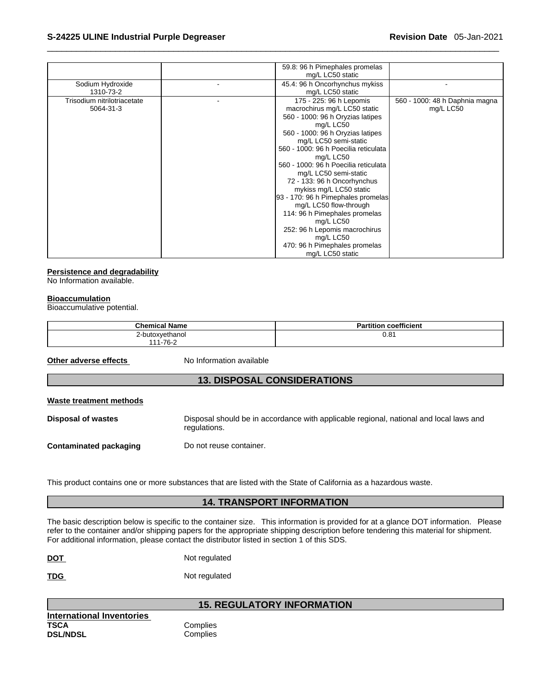|                             | 59.8: 96 h Pimephales promelas                            |
|-----------------------------|-----------------------------------------------------------|
|                             | mg/L LC50 static                                          |
| Sodium Hydroxide            | 45.4: 96 h Oncorhynchus mykiss                            |
| 1310-73-2                   | mg/L LC50 static                                          |
| Trisodium nitrilotriacetate | 175 - 225: 96 h Lepomis<br>560 - 1000: 48 h Daphnia magna |
| 5064-31-3                   | macrochirus mg/L LC50 static<br>mg/L LC50                 |
|                             | 560 - 1000: 96 h Oryzias latipes                          |
|                             | mg/L LC50                                                 |
|                             | 560 - 1000: 96 h Oryzias latipes                          |
|                             | mg/L LC50 semi-static                                     |
|                             | 560 - 1000: 96 h Poecilia reticulata                      |
|                             | mg/L LC50                                                 |
|                             | 560 - 1000: 96 h Poecilia reticulata                      |
|                             | mg/L LC50 semi-static                                     |
|                             | 72 - 133: 96 h Oncorhynchus                               |
|                             | mykiss mg/L LC50 static                                   |
|                             | 93 - 170: 96 h Pimephales promelas                        |
|                             | mg/L LC50 flow-through                                    |
|                             | 114: 96 h Pimephales promelas                             |
|                             | mg/L LC50                                                 |
|                             | 252: 96 h Lepomis macrochirus                             |
|                             | mg/L LC50                                                 |
|                             | 470: 96 h Pimephales promelas                             |
|                             | mg/L LC50 static                                          |

### **Persistence and degradability**

No Information available.

### **Bioaccumulation**

Bioaccumulative potential.

| <b>Chemical Name</b> | coefficient<br>artitior<br>п |
|----------------------|------------------------------|
| wethanol             | ۱o.<br>U.O                   |
| 70 O<br>444<br>-סי   |                              |

**Other adverse effects** No Information available

# **13. DISPOSAL CONSIDERATIONS**

| Waste treatment methods |                                                                                                        |  |  |  |
|-------------------------|--------------------------------------------------------------------------------------------------------|--|--|--|
| Disposal of wastes      | Disposal should be in accordance with applicable regional, national and local laws and<br>regulations. |  |  |  |
| Contaminated packaging  | Do not reuse container.                                                                                |  |  |  |

This product contains one or more substances that are listed with the State of California as a hazardous waste.

# **14. TRANSPORT INFORMATION**

The basic description below is specific to the container size. This information is provided for at a glance DOT information. Please refer to the container and/or shipping papers for the appropriate shipping description before tendering this material for shipment. For additional information, please contact the distributor listed in section 1 of this SDS.

**DOT** Not regulated

**TDG** Not regulated

**International Inventories DSL/NDSL** 

# **15. REGULATORY INFORMATION**

Complies<br>Complies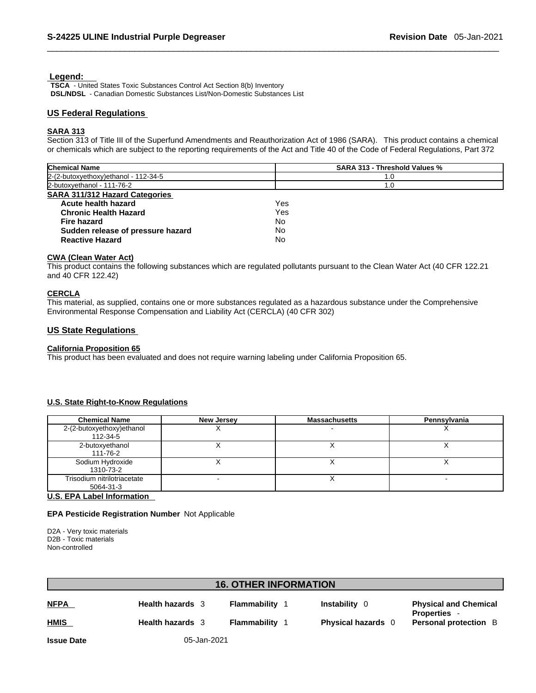### **Legend:**

**TSCA** - United States Toxic Substances Control Act Section 8(b) Inventory **DSL/NDSL** - Canadian Domestic Substances List/Non-Domestic Substances List

### **US Federal Regulations**

### **SARA 313**

Section 313 of Title III of the Superfund Amendments and Reauthorization Act of 1986 (SARA). This product contains a chemical or chemicals which are subject to the reporting requirements of the Act and Title 40 of the Code of Federal Regulations, Part 372

| <b>Chemical Name</b>                  | SARA 313 - Threshold Values % |
|---------------------------------------|-------------------------------|
| 2-(2-butoxyethoxy) ethanol - 112-34-5 | 1.0                           |
| 2-butoxyethanol - 111-76-2            | 1.0                           |
| <b>SARA 311/312 Hazard Categories</b> |                               |
| Acute health hazard                   | Yes                           |
| <b>Chronic Health Hazard</b>          | Yes                           |
| Fire hazard                           | No                            |
| Sudden release of pressure hazard     | No                            |
| <b>Reactive Hazard</b>                | No                            |

### **CWA** (Clean Water Act)

This product contains the following substances which are regulated pollutants pursuant to the Clean Water Act (40 CFR 122.21 and 40 CFR 122.42)

### **CERCLA**

This material, as supplied, contains one or more substances regulated as a hazardous substance under the Comprehensive Environmental Response Compensation and Liability Act (CERCLA) (40 CFR 302)

### **US State Regulations**

### **California Proposition 65**

This product has been evaluated and does not require warning labeling under California Proposition 65.

### **U.S. State Right-to-Know Regulations**

| <b>Chemical Name</b>                     | <b>New Jersey</b> | <b>Massachusetts</b> | Pennsylvania |
|------------------------------------------|-------------------|----------------------|--------------|
| 2-(2-butoxyethoxy)ethanol<br>112-34-5    |                   |                      |              |
| 2-butoxyethanol<br>111-76-2              |                   |                      |              |
| Sodium Hydroxide<br>1310-73-2            |                   |                      |              |
| Trisodium nitrilotriacetate<br>5064-31-3 |                   |                      |              |

### **U.S. EPA Label Information**

### **EPA Pesticide Registration Number** Not Applicable

D2A - Very toxic materials D2B - Toxic materials Non-controlled

# **16. OTHER INFORMATION**

| <b>NFPA</b> | <b>Health hazards</b> 3 | Flammability | <b>Instability</b>      | <b>Physical and Chemical</b><br><b>Properties</b> |
|-------------|-------------------------|--------------|-------------------------|---------------------------------------------------|
| <b>HMIS</b> | <b>Health hazards</b>   | Flammability | <b>Physical hazards</b> | <b>Personal protection</b> B                      |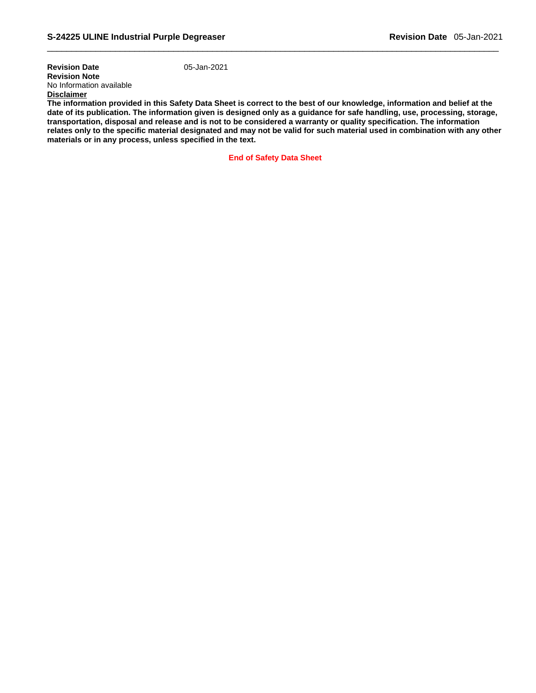**Revision Date** 05-Jan-2021 **Revision Note**  No Information available **Disclaimer**

**The information provided in this Safety Data Sheet is correct to the best of our knowledge, information and belief at the date of its publication. The information given is designed only as a guidance for safe handling, use, processing, storage, transportation, disposal and release and is not to be considered a warranty or quality specification. The information relates only to the specific material designated and may not be valid for such material used in combination with any other materials or in any process, unless specified in the text.** 

**End of Safety Data Sheet**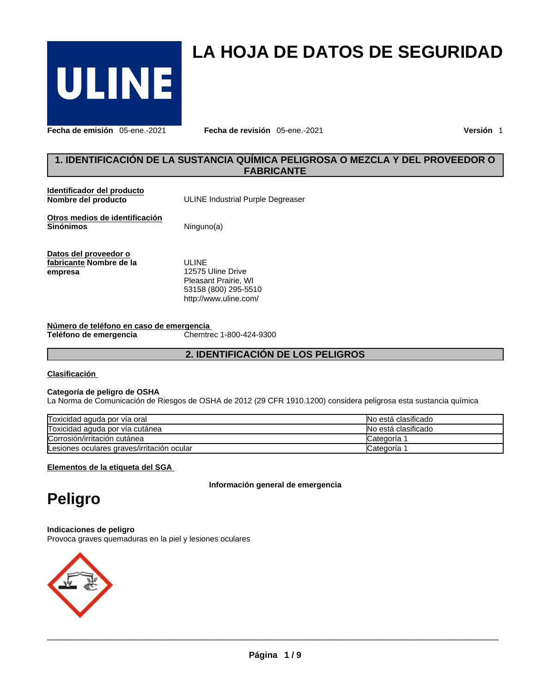

**Fecha de emisión** 05-ene.-2021 **Fecha de revisión** 05-ene.-2021 **Versión** 1

# **1. IDENTIFICACIÓN DE LA SUSTANCIA QUÍMICA PELIGROSA O MEZCLA Y DEL PROVEEDOR O**<br> **1. IDENTIFICACIÓN DE LA SUSTANCIA QUÍMICA PELIGROSA O MEZCLA Y DEL PROVEEDOR O**<br> **EABRICANTE**<br>
POPIFICACIÓN DE LA SUSTANCIA QUÍMICA PELIGRO **FABRICANTE**

**LA HOJA DE DATOS DE SEGURIDAD** 

| <b>Clasificación</b>                                               |                                                                                                            |
|--------------------------------------------------------------------|------------------------------------------------------------------------------------------------------------|
|                                                                    | 2. IDENTIFICACIÓN DE LOS PELIGROS                                                                          |
| Número de teléfono en caso de emergencia<br>Teléfono de emergencia | Chemtrec 1-800-424-9300                                                                                    |
| Datos del proveedor o<br>fabricante Nombre de la<br>empresa        | <b>ULINE</b><br>12575 Uline Drive<br>Pleasant Prairie, WI<br>53158 (800) 295-5510<br>http://www.uline.com/ |
| Otros medios de identificación<br><b>Sinónimos</b>                 | Ninguno(a)                                                                                                 |
| Identificador del producto<br>Nombre del producto                  | ULINE Industrial Purple Degreaser                                                                          |

### **Clasificación**

### **Categoría de peligro de OSHA**

La Norma de Comunicación de Riesgos de OSHA de 2012 (29 CFR 1910.1200) considera peligrosa esta sustancia química

| Toxicidad aguda por vía oral               | No está clasificado    |
|--------------------------------------------|------------------------|
| Toxicidad aguda por vía cutánea            | No está clasificado    |
| Corrosión/irritación cutánea               | Categoría <sup>-</sup> |
| Lesiones oculares graves/irritación ocular | Categoria              |

**Elementos de la etiqueta del SGA** 

**Información general de emergencia** 

# **Peligro**

### **Indicaciones de peligro**

Provoca graves quemaduras en la piel y lesiones oculares



 $\_$  ,  $\_$  ,  $\_$  ,  $\_$  ,  $\_$  ,  $\_$  ,  $\_$  ,  $\_$  ,  $\_$  ,  $\_$  ,  $\_$  ,  $\_$  ,  $\_$  ,  $\_$  ,  $\_$  ,  $\_$  ,  $\_$  ,  $\_$  ,  $\_$  ,  $\_$  ,  $\_$  ,  $\_$  ,  $\_$  ,  $\_$  ,  $\_$  ,  $\_$  ,  $\_$  ,  $\_$  ,  $\_$  ,  $\_$  ,  $\_$  ,  $\_$  ,  $\_$  ,  $\_$  ,  $\_$  ,  $\_$  ,  $\_$  ,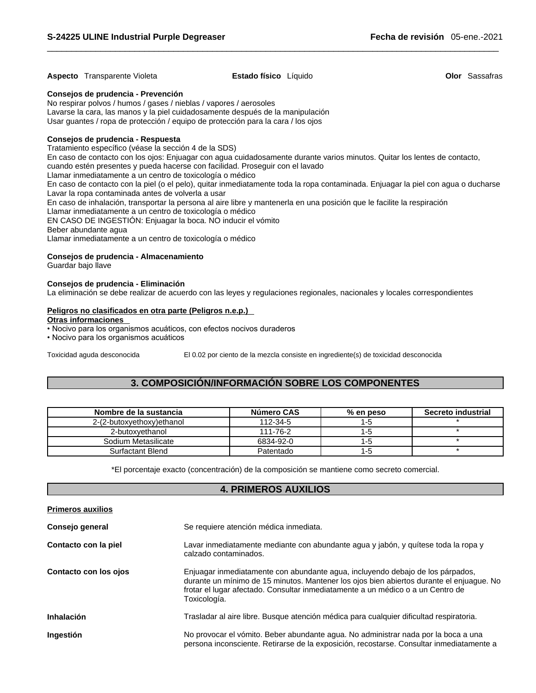### **Aspecto** Transparente Violeta **Estado físico** Líquido **Olor** Sassafras

### **Consejos de prudencia - Prevención**

No respirar polvos / humos / gases / nieblas / vapores / aerosoles Lavarse la cara, las manos y la piel cuidadosamente después de la manipulación Usar guantes / ropa de protección / equipo de protección para la cara / los ojos

### **Consejos de prudencia - Respuesta**

Tratamiento específico (véase la sección 4 de la SDS)

En caso de contacto con los ojos: Enjuagar con agua cuidadosamente durante varios minutos. Quitar los lentes de contacto, cuando estén presentes y pueda hacerse con facilidad. Proseguir con el lavado

Llamar inmediatamente a un centro de toxicología o médico

En caso de contacto con la piel (o el pelo), quitar inmediatamente toda la ropa contaminada. Enjuagar la piel con agua o ducharse Lavar la ropa contaminada antes de volverla a usar

En caso de inhalación, transportar la persona al aire libre y mantenerla en una posición que le facilite la respiración

Llamar inmediatamente a un centro de toxicología o médico

EN CASO DE INGESTIÓN: Enjuagar la boca. NO inducir el vómito

# Beber abundante agua

### **Consejos de prudencia - Almacenamiento**

### **Consejos de prudencia - Eliminación**

La eliminación se debe realizar de acuerdo con las leyes y regulaciones regionales, nacionales y locales correspondientes Frecision communication, analysing the lost colored an anti-term interesting or mini-position que in<br>
EN CASO DE INGESTIÓN: Enjuagar la boca. NO inducir el vómito<br>
Beber abundante agua<br>
Llamar inmediatamente a un centro de

# **Peligros no clasificados en otra parte (Peligros n.e.p.)**  EN CASO DE INGESTIÓN: Enjuagar la boca. NO inducir el v<br>EN CASO DE INGESTIÓN: Enjuagar la boca. NO inducir el v<br>Beber abundante agua<br>Llamar inmediatamente a un centro de toxicología o médico<br>Consejos de prudencia - Almacen

- **Otras informaciones**
- 

| Consejos de prudencia - Almacenamiento<br>Guardar bajo llave                                                                                                     |                                                                                     |                      |                    |
|------------------------------------------------------------------------------------------------------------------------------------------------------------------|-------------------------------------------------------------------------------------|----------------------|--------------------|
|                                                                                                                                                                  |                                                                                     |                      |                    |
| Consejos de prudencia - Eliminación<br>La eliminación se debe realizar de acuerdo con las leyes y regulaciones regionales, nacionales y locales correspondientes |                                                                                     |                      |                    |
| Peligros no clasificados en otra parte (Peligros n.e.p.)                                                                                                         |                                                                                     |                      |                    |
| <b>Otras informaciones</b>                                                                                                                                       |                                                                                     |                      |                    |
| · Nocivo para los organismos acuáticos, con efectos nocivos duraderos                                                                                            |                                                                                     |                      |                    |
| • Nocivo para los organismos acuáticos                                                                                                                           |                                                                                     |                      |                    |
| Toxicidad aguda desconocida                                                                                                                                      | El 0.02 por ciento de la mezcla consiste en ingrediente(s) de toxicidad desconocida |                      |                    |
|                                                                                                                                                                  |                                                                                     |                      |                    |
|                                                                                                                                                                  |                                                                                     |                      |                    |
|                                                                                                                                                                  |                                                                                     |                      |                    |
|                                                                                                                                                                  |                                                                                     |                      |                    |
|                                                                                                                                                                  | 3. COMPOSICIÓN/INFORMACIÓN SOBRE LOS COMPONENTES                                    |                      |                    |
|                                                                                                                                                                  |                                                                                     |                      |                    |
| Nombre de la sustancia                                                                                                                                           | Número CAS                                                                          |                      | Secreto industrial |
| 2-(2-butoxyethoxy)ethanol                                                                                                                                        | 112-34-5                                                                            | % en peso<br>$1 - 5$ |                    |
| 2-butoxyethanol                                                                                                                                                  | 111-76-2                                                                            | $1 - 5$              | $\star$            |
| Sodium Metasilicate                                                                                                                                              | 6834-92-0                                                                           | $1 - 5$              | $\star$            |

| <b>Primeros auxilios</b> |                                                                                                                                                                                                                                                                               |
|--------------------------|-------------------------------------------------------------------------------------------------------------------------------------------------------------------------------------------------------------------------------------------------------------------------------|
| Consejo general          | Se requiere atención médica inmediata.                                                                                                                                                                                                                                        |
| Contacto con la piel     | Lavar inmediatamente mediante con abundante agua y jabón, y quítese toda la ropa y<br>calzado contaminados.                                                                                                                                                                   |
| Contacto con los ojos    | Enjuagar inmediatamente con abundante agua, incluyendo debajo de los párpados,<br>durante un mínimo de 15 minutos. Mantener los ojos bien abiertos durante el enjuague. No<br>frotar el lugar afectado. Consultar inmediatamente a un médico o a un Centro de<br>Toxicología. |
| Inhalación               | Trasladar al aire libre. Busque atención médica para cualquier dificultad respiratoria.                                                                                                                                                                                       |
| Ingestión                | No provocar el vómito. Beber abundante agua. No administrar nada por la boca a una<br>persona inconsciente. Retirarse de la exposición, recostarse. Consultar inmediatamente a                                                                                                |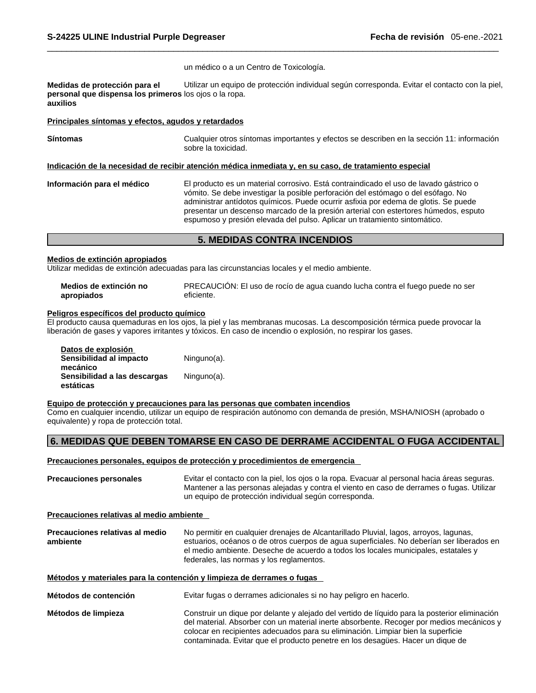un médico o a un Centro de Toxicología.

**Medidas de protección para el personal que dispensa los primeros** los ojos o la ropa. **auxilios**  Utilizar un equipo de protección individual según corresponda. Evitar el contacto con la piel,

### **Principales síntomas y efectos, agudos y retardados**

| Principales síntomas y efectos, agudos y retardados |                                                                                                                                                                                                                                                                                                                                                                                                                                      |
|-----------------------------------------------------|--------------------------------------------------------------------------------------------------------------------------------------------------------------------------------------------------------------------------------------------------------------------------------------------------------------------------------------------------------------------------------------------------------------------------------------|
| <b>Síntomas</b>                                     | Cualquier otros síntomas importantes y efectos se describen en la sección 11: información<br>sobre la toxicidad.                                                                                                                                                                                                                                                                                                                     |
|                                                     | Indicación de la necesidad de recibir atención médica inmediata y, en su caso, de tratamiento especial                                                                                                                                                                                                                                                                                                                               |
| Información para el médico                          | El producto es un material corrosivo. Está contraindicado el uso de lavado gástrico o<br>vómito. Se debe investigar la posible perforación del estómago o del esófago. No<br>administrar antídotos químicos. Puede ocurrir asfixia por edema de glotis. Se puede<br>presentar un descenso marcado de la presión arterial con estertores húmedos, esputo<br>espumoso y presión elevada del pulso. Aplicar un tratamiento sintomático. |
|                                                     | <b>5. MEDIDAS CONTRA INCENDIOS</b>                                                                                                                                                                                                                                                                                                                                                                                                   |

### **Medios de extinción apropiados**

| Medios de extinción no | PRECAUCIÓN: El uso de rocío de agua cuando lucha contra el fuego puede no ser |
|------------------------|-------------------------------------------------------------------------------|
| apropiados             | eficiente.                                                                    |

### **Peligros específicos del producto químico**

| apropiados                                | eficiente.                                                                                                                                                                                            |
|-------------------------------------------|-------------------------------------------------------------------------------------------------------------------------------------------------------------------------------------------------------|
| eligros específicos del producto químico? |                                                                                                                                                                                                       |
|                                           | Il producto causa quemaduras en los ojos, la piel y las membranas mucosas. La descomposición térmica puede provocar la                                                                                |
|                                           | beración de gases y vapores irritantes y tóxicos. En caso de incendio o explosión, no respirar los gases.                                                                                             |
| Datos de explosión                        |                                                                                                                                                                                                       |
| Sensibilidad al impacto                   | Ninguno(a).                                                                                                                                                                                           |
| mecánico                                  |                                                                                                                                                                                                       |
| Sensibilidad a las descargas              | Ninguno(a).                                                                                                                                                                                           |
| estáticas                                 |                                                                                                                                                                                                       |
|                                           | Equipo de protección y precauciones para las personas que combaten incendios<br>Como en cualquier incendio, utilizar un equipo de respiración autónomo con demanda de presión, MSHA/NIOSH (aprobado o |
| quivalente) y ropa de protección total.   |                                                                                                                                                                                                       |
|                                           | 6. MEDIDAS QUE DEBEN TOMARSE EN CASO DE DERRAME ACCIDENTAL O FUGA ACCIDENTAL                                                                                                                          |
|                                           |                                                                                                                                                                                                       |
|                                           | Precauciones personales, equipos de protección y procedimientos de emergencia                                                                                                                         |
| recauciones personales                    | Evitar el contacto con la piel, los ojos o la ropa. Evacuar al personal hacia áreas seguras.                                                                                                          |

### **Equipo de protección y precauciones para las personas que combaten incendios**

### **Precauciones personales, equipos de protección y procedimientos de emergencia**

| <b>Precauciones personales</b> | Evitar el contacto con la piel, los ojos o la ropa. Evacuar al personal hacia áreas seguras. |
|--------------------------------|----------------------------------------------------------------------------------------------|
|                                | Mantener a las personas alejadas y contra el viento en caso de derrames o fugas. Utilizar    |
|                                | un equipo de protección individual según corresponda.                                        |

### **Precauciones relativas al medio ambiente**

| Precauciones relativas al medio | No permitir en cualquier drenajes de Alcantarillado Pluvial, lagos, arroyos, lagunas,     |
|---------------------------------|-------------------------------------------------------------------------------------------|
| ambiente                        | estuarios, océanos o de otros cuerpos de agua superficiales. No deberían ser liberados en |
|                                 | el medio ambiente. Deseche de acuerdo a todos los locales municipales, estatales y        |
|                                 | federales, las normas y los reglamentos.                                                  |

### **Métodos y materiales para la contención y limpieza de derrames o fugas**

**Métodos de contención** Evitar fugas o derrames adicionales si no hay peligro en hacerlo.

**Métodos de limpieza** Construir un dique por delante y alejado del vertido de líquido para la posterior eliminación del material. Absorber con un material inerte absorbente. Recoger por medios mecánicos y colocar en recipientes adecuados para su eliminación. Limpiar bien la superficie contaminada. Evitar que el producto penetre en los desagües. Hacer un dique de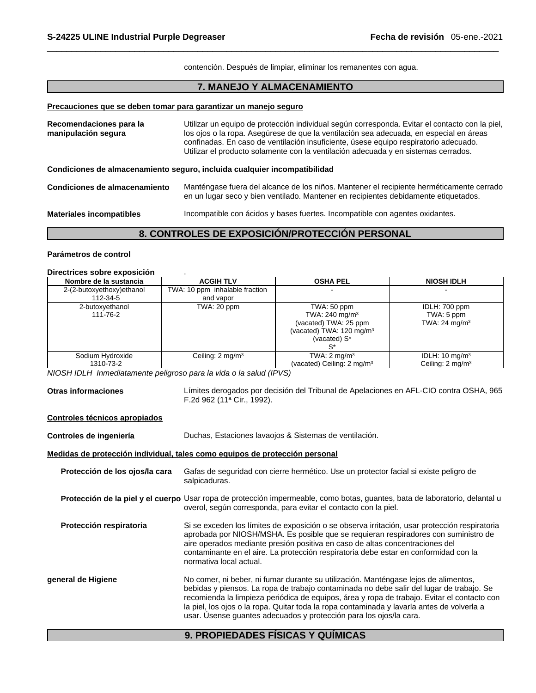### **Precauciones que se deben tomar para garantizar un manejo seguro**

| S-24225 ULINE Industrial Purple Degreaser      |                                                                                                                                                                                 | Fecha de revisión 05-ene.-2021                                                                                                                                                                                                                                                                                                                                         |
|------------------------------------------------|---------------------------------------------------------------------------------------------------------------------------------------------------------------------------------|------------------------------------------------------------------------------------------------------------------------------------------------------------------------------------------------------------------------------------------------------------------------------------------------------------------------------------------------------------------------|
|                                                | contención. Después de limpiar, eliminar los remanentes con agua.                                                                                                               |                                                                                                                                                                                                                                                                                                                                                                        |
|                                                | 7. MANEJO Y ALMACENAMIENTO                                                                                                                                                      |                                                                                                                                                                                                                                                                                                                                                                        |
|                                                | Precauciones que se deben tomar para garantizar un manejo seguro                                                                                                                |                                                                                                                                                                                                                                                                                                                                                                        |
| Recomendaciones para la<br>manipulación segura |                                                                                                                                                                                 | Utilizar un equipo de protección individual según corresponda. Evitar el contacto con la piel,<br>los ojos o la ropa. Asegúrese de que la ventilación sea adecuada, en especial en áreas<br>confinadas. En caso de ventilación insuficiente, úsese equipo respiratorio adecuado.<br>Utilizar el producto solamente con la ventilación adecuada y en sistemas cerrados. |
|                                                | Condiciones de almacenamiento seguro, incluida cualquier incompatibilidad                                                                                                       |                                                                                                                                                                                                                                                                                                                                                                        |
| Condiciones de almacenamiento                  | Manténgase fuera del alcance de los niños. Mantener el recipiente herméticamente cerrado<br>en un lugar seco y bien ventilado. Mantener en recipientes debidamente etiquetados. |                                                                                                                                                                                                                                                                                                                                                                        |
| <b>Materiales incompatibles</b>                |                                                                                                                                                                                 | Incompatible con ácidos y bases fuertes. Incompatible con agentes oxidantes.                                                                                                                                                                                                                                                                                           |
|                                                | 8. CONTROLES DE EXPOSICIÓN/PROTECCIÓN PERSONAL                                                                                                                                  |                                                                                                                                                                                                                                                                                                                                                                        |

### **Parámetros de control**

### **Directrices sobre exposición** .

| Nombre de la sustancia    | <b>ACGIH TLV</b>               | <b>OSHA PEL</b>                       | <b>NIOSH IDLH</b>           |
|---------------------------|--------------------------------|---------------------------------------|-----------------------------|
| 2-(2-butoxyethoxy)ethanol | TWA: 10 ppm inhalable fraction |                                       |                             |
| 112-34-5                  | and vapor                      |                                       |                             |
| 2-butoxyethanol           | TWA: 20 ppm                    | TWA: 50 ppm                           | IDLH: 700 ppm               |
| 111-76-2                  |                                | TWA: 240 mg/m <sup>3</sup>            | TWA: 5 ppm                  |
|                           |                                | (vacated) TWA: 25 ppm                 | TWA: $24 \text{ mg/m}^3$    |
|                           |                                | (vacated) TWA: $120 \text{ mg/m}^3$   |                             |
|                           |                                | (vacated) S*                          |                             |
|                           |                                |                                       |                             |
| Sodium Hydroxide          | Ceiling: 2 mg/m <sup>3</sup>   | TWA: $2 \text{ mg/m}^3$               | IDLH: $10 \text{ mg/m}^3$   |
| 1310-73-2                 |                                | (vacated) Ceiling: $2 \text{ mg/m}^3$ | Ceiling: $2 \text{ mg/m}^3$ |

*NIOSH IDLH Inmediatamente peligroso para la vida o la salud (IPVS)* 

**Otras informaciones** Límites derogados por decisión del Tribunal de Apelaciones en AFL-CIO contra OSHA, 965 F.2d 962 (11ª Cir., 1992).

### **Controles técnicos apropiados**

**Controles de ingeniería** Duchas, Estaciones lavaojos & Sistemas de ventilación.

### **Medidas de protección individual, tales como equipos de protección personal**

| Protección de los ojos/la cara | Gafas de seguridad con cierre hermético. Use un protector facial si existe peligro de<br>salpicaduras.                                                                                                                                                                                                                                                                                                                                             |
|--------------------------------|----------------------------------------------------------------------------------------------------------------------------------------------------------------------------------------------------------------------------------------------------------------------------------------------------------------------------------------------------------------------------------------------------------------------------------------------------|
|                                | <b>Protección de la piel y el cuerpo</b> Usar ropa de protección impermeable, como botas, guantes, bata de laboratorio, delantal u<br>overol, según corresponda, para evitar el contacto con la piel.                                                                                                                                                                                                                                              |
| Protección respiratoria        | Si se exceden los límites de exposición o se observa irritación, usar protección respiratoria<br>aprobada por NIOSH/MSHA. Es posible que se requieran respiradores con suministro de<br>aire operados mediante presión positiva en caso de altas concentraciones del<br>contaminante en el aire. La protección respiratoria debe estar en conformidad con la<br>normativa local actual.                                                            |
| general de Higiene             | No comer, ni beber, ni fumar durante su utilización. Manténgase lejos de alimentos,<br>bebidas y piensos. La ropa de trabajo contaminada no debe salir del lugar de trabajo. Se<br>recomienda la limpieza periódica de equipos, área y ropa de trabajo. Evitar el contacto con<br>la piel, los ojos o la ropa. Quitar toda la ropa contaminada y lavarla antes de volverla a<br>usar. Úsense guantes adecuados y protección para los ojos/la cara. |
|                                | 9. PROPIEDADES FÍSICAS Y QUÍMICAS                                                                                                                                                                                                                                                                                                                                                                                                                  |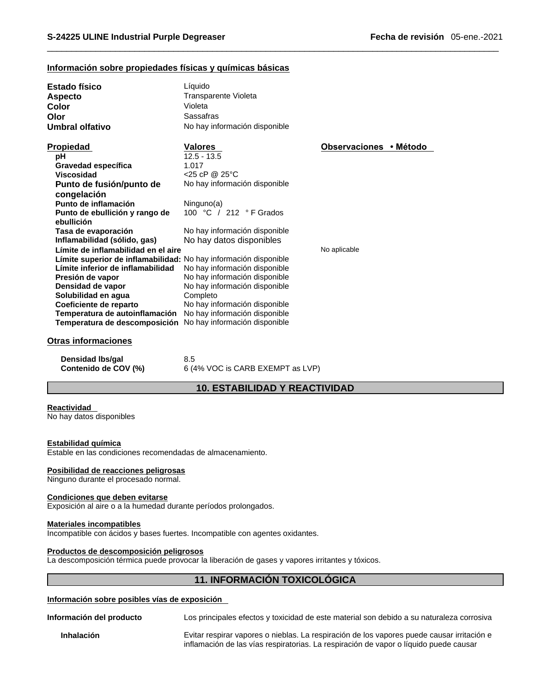## **Información sobre propiedades físicas y químicas básicas**

| <b>Estado físico</b>                                             | Líquido                              |                        |
|------------------------------------------------------------------|--------------------------------------|------------------------|
| <b>Aspecto</b>                                                   | Transparente Violeta                 |                        |
| Color                                                            | Violeta                              |                        |
| Olor                                                             | Sassafras                            |                        |
| Umbral olfativo                                                  | No hay información disponible        |                        |
|                                                                  |                                      |                        |
| Propiedad                                                        | <b>Valores</b>                       | Observaciones • Método |
| pH                                                               | $12.5 - 13.5$                        |                        |
| Gravedad específica                                              | 1.017                                |                        |
| Viscosidad                                                       | <25 cP @ 25°C                        |                        |
| Punto de fusión/punto de                                         | No hay información disponible        |                        |
| congelación                                                      |                                      |                        |
| Punto de inflamación                                             | Ninguno(a)                           |                        |
| Punto de ebullición y rango de                                   | 100 °C / 212 °F Grados               |                        |
| ebullición                                                       |                                      |                        |
| Tasa de evaporación                                              | No hay información disponible        |                        |
| Inflamabilidad (sólido, gas)                                     | No hay datos disponibles             |                        |
| Límite de inflamabilidad en el aire                              |                                      | No aplicable           |
| Límite superior de inflamabilidad: No hay información disponible |                                      |                        |
| Límite inferior de inflamabilidad                                | No hay información disponible        |                        |
| Presión de vapor                                                 | No hay información disponible        |                        |
| Densidad de vapor                                                | No hay información disponible        |                        |
| Solubilidad en agua                                              | Completo                             |                        |
| Coeficiente de reparto                                           | No hay información disponible        |                        |
| Temperatura de autoinflamación                                   | No hay información disponible        |                        |
| Temperatura de descomposición                                    | No hay información disponible        |                        |
|                                                                  |                                      |                        |
| <b>Otras informaciones</b>                                       |                                      |                        |
|                                                                  |                                      |                        |
| Densidad Ibs/gal                                                 | 8.5                                  |                        |
| Contenido de COV (%)                                             | 6 (4% VOC is CARB EXEMPT as LVP)     |                        |
|                                                                  | <b>10. ESTABILIDAD Y REACTIVIDAD</b> |                        |
|                                                                  |                                      |                        |
| <b>Reactividad</b>                                               |                                      |                        |
| No hay datos disponibles                                         |                                      |                        |
|                                                                  |                                      |                        |

### **Reactividad**

### **Estabilidad química**

Estable en las condiciones recomendadas de almacenamiento.

### **Posibilidad de reacciones peligrosas**

Ninguno durante el procesado normal.

### **Condiciones que deben evitarse**

Exposición al aire o a la humedad durante períodos prolongados.

### **Materiales incompatibles**

Incompatible con ácidos y bases fuertes. Incompatible con agentes oxidantes.

### **Productos de descomposición peligrosos**

La descomposición térmica puede provocar la liberación de gases y vapores irritantes y tóxicos.

### **Información sobre posibles vías de exposición**

de almacenamiento.<br>
períodos prolongados.<br> **11. INFORMACIÓN TOXICOLÓGICA**<br> **11. INFORMACIÓN TOXICOLÓGICA**<br> **11. INFORMACIÓN TOXICOLÓGICA**<br> **11. INFORMACIÓN TOXICOLÓGICA Información del producto** Los principales efectos y toxicidad de este material son debido a su naturaleza corrosiva

**Inhalación** Evitar respirar vapores o nieblas. La respiración de los vapores puede causar irritación e inflamación de las vías respiratorias. La respiración de vapor o líquido puede causar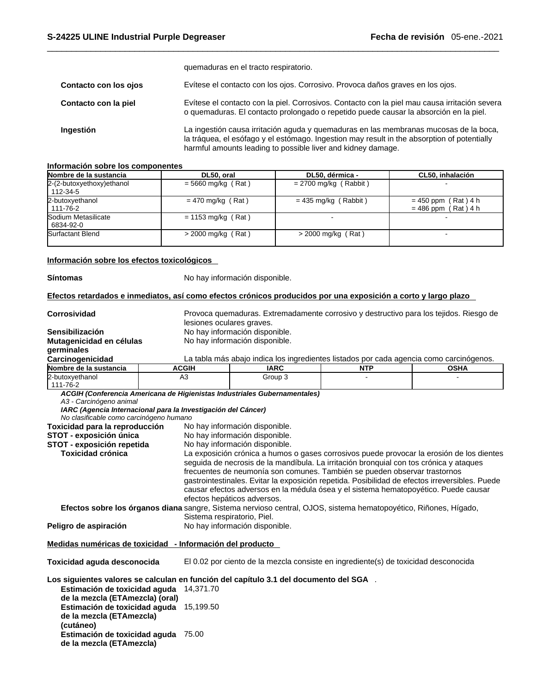|                       | quemaduras en el tracto respiratorio.                                                                                                                                                                                                                |
|-----------------------|------------------------------------------------------------------------------------------------------------------------------------------------------------------------------------------------------------------------------------------------------|
| Contacto con los ojos | Evítese el contacto con los ojos. Corrosivo. Provoca daños graves en los ojos.                                                                                                                                                                       |
| Contacto con la piel  | Evítese el contacto con la piel. Corrosivos. Contacto con la piel mau causa irritación severa<br>o quemaduras. El contacto prolongado o repetido puede causar la absorción en la piel.                                                               |
| Ingestión             | La ingestión causa irritación aguda y quemaduras en las membranas mucosas de la boca,<br>la tráquea, el esófago y el estómago. Ingestion may result in the absorption of potentially<br>harmful amounts leading to possible liver and kidney damage. |

### **Información sobre los componentes**

| Nombre de la sustancia                 | DL50, oral           | DL50, dérmica -         | CL50, inhalación                               |
|----------------------------------------|----------------------|-------------------------|------------------------------------------------|
| 2-(2-butoxyethoxy) ethanol<br>112-34-5 | $= 5660$ mg/kg (Rat) | $= 2700$ mg/kg (Rabbit) |                                                |
| 2-butoxyethanol<br>111-76-2            | $= 470$ mg/kg (Rat)  | $= 435$ mg/kg (Rabbit)  | $= 450$ ppm (Rat) 4 h<br>$= 486$ ppm (Rat) 4 h |
| Sodium Metasilicate<br>6834-92-0       | $= 1153$ mg/kg (Rat) |                         |                                                |
| Surfactant Blend                       | $>$ 2000 mg/kg (Rat) | $>$ 2000 mg/kg (Rat)    |                                                |

### **Información sobre los efectos toxicológicos**

**Síntomas** No hay información disponible.

Efectos retardados e inmediatos, así como efectos crónicos producidos por una exposición a corto y largo plazo

| <b>Corrosividad</b>                                                                                                                 |              | Provoca quemaduras. Extremadamente corrosivo y destructivo para los tejidos. Riesgo de                                                                                                                                                                                                                                                                                                      |  |                                                                                           |  |  |
|-------------------------------------------------------------------------------------------------------------------------------------|--------------|---------------------------------------------------------------------------------------------------------------------------------------------------------------------------------------------------------------------------------------------------------------------------------------------------------------------------------------------------------------------------------------------|--|-------------------------------------------------------------------------------------------|--|--|
|                                                                                                                                     |              | lesiones oculares graves.                                                                                                                                                                                                                                                                                                                                                                   |  |                                                                                           |  |  |
| Sensibilización                                                                                                                     |              | No hay información disponible.                                                                                                                                                                                                                                                                                                                                                              |  |                                                                                           |  |  |
| Mutagenicidad en células                                                                                                            |              | No hay información disponible.                                                                                                                                                                                                                                                                                                                                                              |  |                                                                                           |  |  |
| germinales                                                                                                                          |              |                                                                                                                                                                                                                                                                                                                                                                                             |  |                                                                                           |  |  |
| Carcinogenicidad                                                                                                                    |              | La tabla más abajo indica los ingredientes listados por cada agencia como carcinógenos.                                                                                                                                                                                                                                                                                                     |  |                                                                                           |  |  |
| Nombre de la sustancia                                                                                                              | <b>ACGIH</b> | <b>IARC</b><br><b>NTP</b><br><b>OSHA</b>                                                                                                                                                                                                                                                                                                                                                    |  |                                                                                           |  |  |
| 2-butoxyethanol<br>111-76-2                                                                                                         | A3           | Group 3                                                                                                                                                                                                                                                                                                                                                                                     |  |                                                                                           |  |  |
| A3 - Carcinógeno animal<br>IARC (Agencia Internacional para la Investigación del Cáncer)<br>No clasificable como carcinógeno humano |              | ACGIH (Conferencia Americana de Higienistas Industriales Gubernamentales)                                                                                                                                                                                                                                                                                                                   |  |                                                                                           |  |  |
| Toxicidad para la reproducción                                                                                                      |              | No hay información disponible.                                                                                                                                                                                                                                                                                                                                                              |  |                                                                                           |  |  |
| STOT - exposición única                                                                                                             |              | No hay información disponible.                                                                                                                                                                                                                                                                                                                                                              |  |                                                                                           |  |  |
| STOT - exposición repetida                                                                                                          |              | No hay información disponible.                                                                                                                                                                                                                                                                                                                                                              |  |                                                                                           |  |  |
| <b>Toxicidad crónica</b>                                                                                                            |              |                                                                                                                                                                                                                                                                                                                                                                                             |  | La exposición crónica a humos o gases corrosivos puede provocar la erosión de los dientes |  |  |
|                                                                                                                                     |              | seguida de necrosis de la mandíbula. La irritación bronquial con tos crónica y ataques<br>frecuentes de neumonía son comunes. También se pueden observar trastornos<br>gastrointestinales. Evitar la exposición repetida. Posibilidad de efectos irreversibles. Puede<br>causar efectos adversos en la médula ósea y el sistema hematopoyético. Puede causar<br>efectos hepáticos adversos. |  |                                                                                           |  |  |
|                                                                                                                                     |              | Efectos sobre los órganos diana sangre, Sistema nervioso central, OJOS, sistema hematopoyético, Riñones, Hígado,                                                                                                                                                                                                                                                                            |  |                                                                                           |  |  |
| Peligro de aspiración                                                                                                               |              | Sistema respiratorio, Piel.<br>No hay información disponible.                                                                                                                                                                                                                                                                                                                               |  |                                                                                           |  |  |
| Medidas numéricas de toxicidad - Información del producto                                                                           |              |                                                                                                                                                                                                                                                                                                                                                                                             |  |                                                                                           |  |  |
| Toxicidad aguda desconocida                                                                                                         |              | El 0.02 por ciento de la mezcla consiste en ingrediente(s) de toxicidad desconocida                                                                                                                                                                                                                                                                                                         |  |                                                                                           |  |  |
| Los siguientes valores se calculan en función del capítulo 3.1 del documento del SGA.                                               |              |                                                                                                                                                                                                                                                                                                                                                                                             |  |                                                                                           |  |  |
| Estimación de toxicidad aguda 14,371.70<br>de la mezcla (ETAmezcla) (oral)                                                          |              |                                                                                                                                                                                                                                                                                                                                                                                             |  |                                                                                           |  |  |
| Estimación de toxicidad aguda 15,199.50<br>de la mezcla (ETAmezcla)<br>(cutáneo)                                                    |              |                                                                                                                                                                                                                                                                                                                                                                                             |  |                                                                                           |  |  |
| Estimación de toxicidad aguda 75.00<br>de la mezcla (ETAmezcla)                                                                     |              |                                                                                                                                                                                                                                                                                                                                                                                             |  |                                                                                           |  |  |
|                                                                                                                                     |              |                                                                                                                                                                                                                                                                                                                                                                                             |  |                                                                                           |  |  |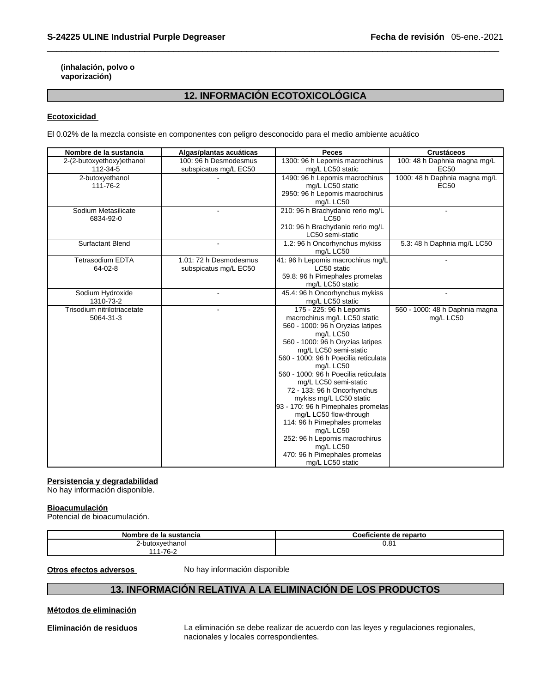### **(inhalación, polvo o vaporización)**

# **12. INFORMACIÓN ECOTOXICOLÓGICA**

### **Ecotoxicidad**

El 0.02% de la mezcla consiste en componentes con peligro desconocido para el medio ambiente acuático

| Nombre de la sustancia      | Algas/plantas acuáticas | <b>Peces</b>                                            | <b>Crustáceos</b>              |
|-----------------------------|-------------------------|---------------------------------------------------------|--------------------------------|
| 2-(2-butoxyethoxy)ethanol   | 100: 96 h Desmodesmus   | 1300: 96 h Lepomis macrochirus                          | 100: 48 h Daphnia magna mg/L   |
| 112-34-5                    | subspicatus mg/L EC50   | mg/L LC50 static                                        | EC <sub>50</sub>               |
| 2-butoxyethanol             |                         | 1490: 96 h Lepomis macrochirus                          | 1000: 48 h Daphnia magna mg/L  |
| 111-76-2                    |                         | mg/L LC50 static                                        | EC <sub>50</sub>               |
|                             |                         | 2950: 96 h Lepomis macrochirus                          |                                |
|                             |                         | mg/L LC50                                               |                                |
| Sodium Metasilicate         |                         | 210: 96 h Brachydanio rerio mg/L                        |                                |
| 6834-92-0                   |                         | <b>LC50</b>                                             |                                |
|                             |                         | 210: 96 h Brachydanio rerio mg/L                        |                                |
|                             |                         | LC50 semi-static                                        |                                |
| <b>Surfactant Blend</b>     |                         | 1.2: 96 h Oncorhynchus mykiss                           | 5.3: 48 h Daphnia mg/L LC50    |
|                             |                         | mg/L LC50                                               |                                |
| <b>Tetrasodium EDTA</b>     | 1.01: 72 h Desmodesmus  | 41: 96 h Lepomis macrochirus mg/L                       |                                |
| 64-02-8                     | subspicatus mg/L EC50   | LC50 static<br>59.8: 96 h Pimephales promelas           |                                |
|                             |                         | mg/L LC50 static                                        |                                |
| Sodium Hydroxide            |                         | 45.4: 96 h Oncorhynchus mykiss                          |                                |
| 1310-73-2                   |                         | mg/L LC50 static                                        |                                |
| Trisodium nitrilotriacetate |                         | 175 - 225: 96 h Lepomis                                 | 560 - 1000: 48 h Daphnia magna |
| 5064-31-3                   |                         | macrochirus mg/L LC50 static                            | mg/L LC50                      |
|                             |                         | 560 - 1000: 96 h Oryzias latipes                        |                                |
|                             |                         | mg/L LC50                                               |                                |
|                             |                         | 560 - 1000: 96 h Oryzias latipes                        |                                |
|                             |                         | mg/L LC50 semi-static                                   |                                |
|                             |                         | 560 - 1000: 96 h Poecilia reticulata                    |                                |
|                             |                         | mg/L LC50                                               |                                |
|                             |                         | 560 - 1000: 96 h Poecilia reticulata                    |                                |
|                             |                         | mg/L LC50 semi-static                                   |                                |
|                             |                         | 72 - 133: 96 h Oncorhynchus                             |                                |
|                             |                         | mykiss mg/L LC50 static                                 |                                |
|                             |                         | 93 - 170: 96 h Pimephales promelas                      |                                |
|                             |                         | mg/L LC50 flow-through<br>114: 96 h Pimephales promelas |                                |
|                             |                         | mg/L LC50                                               |                                |
|                             |                         | 252: 96 h Lepomis macrochirus                           |                                |
|                             |                         | mg/L LC50                                               |                                |
|                             |                         | 470: 96 h Pimephales promelas                           |                                |
|                             |                         | mg/L LC50 static                                        |                                |

### **Persistencia y degradabilidad**

No hay información disponible.

### **Bioacumulación**

Potencial de bioacumulación.

| Nombre de la sustancia | Coeficiente de reparto |
|------------------------|------------------------|
| 2-butoxvethanol        | 0.81                   |
| $1 - 76 -$<br>.        |                        |

**Otros efectos adversos** No hay información disponible

# **13. INFORMACIÓN RELATIVA A LA ELIMINACIÓN DE LOS PRODUCTOS**

### **Métodos de eliminación**

**Eliminación de residuos** La eliminación se debe realizar de acuerdo con las leyes y regulaciones regionales, nacionales y locales correspondientes.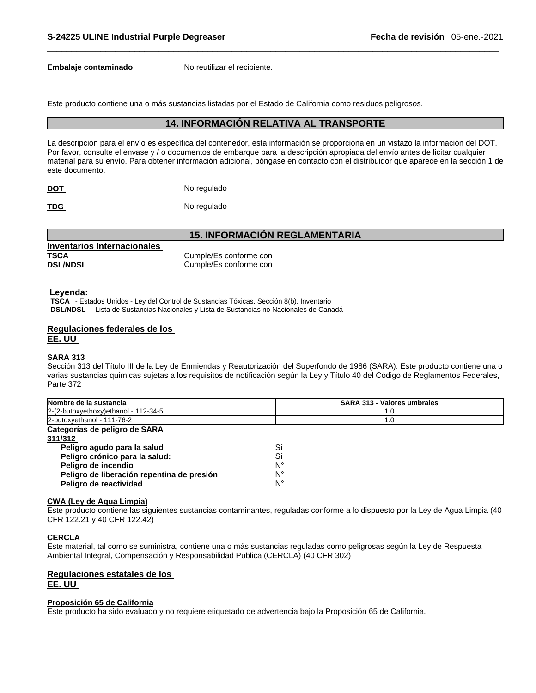**Embalaje contaminado** No reutilizar el recipiente.

Este producto contiene una o más sustancias listadas por el Estado de California como residuos peligrosos.

### **14. INFORMACIÓN RELATIVA AL TRANSPORTE**

La descripción para el envío es específica del contenedor, esta información se proporciona en un vistazo la información del DOT. Por favor, consulte el envase y / o documentos de embarque para la descripción apropiada del envío antes de licitar cualquier material para su envío. Para obtener información adicional, póngase en contacto con el distribuidor que aparece en la sección 1 de este documento.

**DOT** No regulado

TDG No regulado

### **15. INFORMACIÓN REGLAMENTARIA**

| Inventarios Internacionales |                        |
|-----------------------------|------------------------|
| TSCA                        | Cumple/Es conforme con |
| <b>DSL/NDSL</b>             | Cumple/Es conforme con |

### **Leyenda:**

**TSCA** - Estados Unidos - Ley del Control de Sustancias Tóxicas, Sección 8(b), Inventario **DSL/NDSL** - Lista de Sustancias Nacionales y Lista de Sustancias no Nacionales de Canadá

### **Regulaciones federales de los EE. UU**

### **SARA 313**

Sección 313 del Título III de la Ley de Enmiendas y Reautorización del Superfondo de 1986 (SARA). Este producto contiene una o varias sustancias químicas sujetas a los requisitos de notificación según la Ley y Título 40 del Código de Reglamentos Federales, Parte 372

| Nombre de la sustancia                     | <b>SARA 313 - Valores umbrales</b> |
|--------------------------------------------|------------------------------------|
| 2-(2-butoxyethoxy) ethanol - 112-34-5      | 1.0                                |
| 2-butoxyethanol - 111-76-2                 | 1.0                                |
| Categorías de peligro de SARA              |                                    |
| 311/312                                    |                                    |
| Peligro agudo para la salud                | Sí                                 |
| Peligro crónico para la salud:             | Sí                                 |
| Peligro de incendio                        | N°                                 |
| Peligro de liberación repentina de presión | N°                                 |
| Peligro de reactividad                     | N°                                 |

### **CWA (Ley de Agua Limpia)**

Este producto contiene las siguientes sustancias contaminantes, reguladas conforme a lo dispuesto por la Ley de Agua Limpia (40 CFR 122.21 y 40 CFR 122.42)

### **CERCLA**

Este material, tal como se suministra, contiene una o más sustancias reguladas como peligrosas según la Ley de Respuesta Ambiental Integral, Compensación y Responsabilidad Pública (CERCLA) (40 CFR 302)

### **Regulaciones estatales de los EE. UU**

### **Proposición 65 de California**

Este producto ha sido evaluado y no requiere etiquetado de advertencia bajo la Proposición 65 de California.